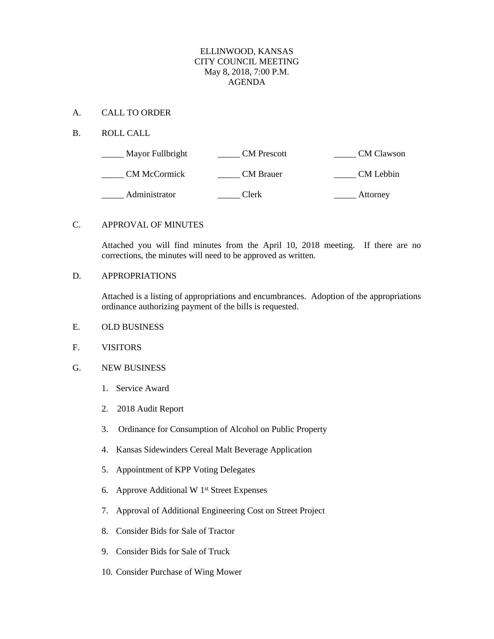### ELLINWOOD, KANSAS CITY COUNCIL MEETING May 8, 2018, 7:00 P.M. AGENDA

### A. CALL TO ORDER

## B. ROLL CALL

| Mayor Fullbright    | <b>CM</b> Prescott | <b>CM</b> Clawson |
|---------------------|--------------------|-------------------|
| <b>CM McCormick</b> | <b>CM</b> Brauer   | CM Lebbin         |
| Administrator       | Clerk              | Attorney          |

### C. APPROVAL OF MINUTES

Attached you will find minutes from the April 10, 2018 meeting. If there are no corrections, the minutes will need to be approved as written.

# D. APPROPRIATIONS

Attached is a listing of appropriations and encumbrances. Adoption of the appropriations ordinance authorizing payment of the bills is requested.

#### E. OLD BUSINESS

## F. VISITORS

## G. NEW BUSINESS

- 1. Service Award
- 2. 2018 Audit Report
- 3. Ordinance for Consumption of Alcohol on Public Property
- 4. Kansas Sidewinders Cereal Malt Beverage Application
- 5. Appointment of KPP Voting Delegates
- 6. Approve Additional W 1st Street Expenses
- 7. Approval of Additional Engineering Cost on Street Project
- 8. Consider Bids for Sale of Tractor
- 9. Consider Bids for Sale of Truck
- 10. Consider Purchase of Wing Mower